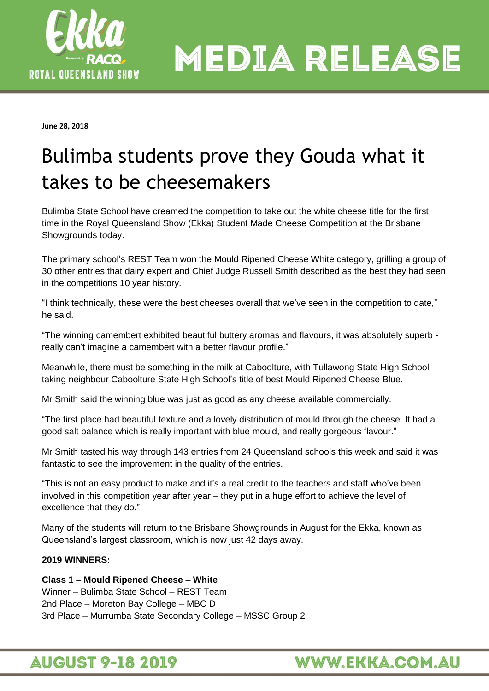

**MEDIA RELEASE** 

**June 28, 2018**

## Bulimba students prove they Gouda what it takes to be cheesemakers

Bulimba State School have creamed the competition to take out the white cheese title for the first time in the Royal Queensland Show (Ekka) Student Made Cheese Competition at the Brisbane Showgrounds today.

The primary school's REST Team won the Mould Ripened Cheese White category, grilling a group of 30 other entries that dairy expert and Chief Judge Russell Smith described as the best they had seen in the competitions 10 year history.

"I think technically, these were the best cheeses overall that we've seen in the competition to date," he said.

"The winning camembert exhibited beautiful buttery aromas and flavours, it was absolutely superb - I really can't imagine a camembert with a better flavour profile."

Meanwhile, there must be something in the milk at Caboolture, with Tullawong State High School taking neighbour Caboolture State High School's title of best Mould Ripened Cheese Blue.

Mr Smith said the winning blue was just as good as any cheese available commercially.

"The first place had beautiful texture and a lovely distribution of mould through the cheese. It had a good salt balance which is really important with blue mould, and really gorgeous flavour."

Mr Smith tasted his way through 143 entries from 24 Queensland schools this week and said it was fantastic to see the improvement in the quality of the entries.

"This is not an easy product to make and it's a real credit to the teachers and staff who've been involved in this competition year after year – they put in a huge effort to achieve the level of excellence that they do."

Many of the students will return to the Brisbane Showgrounds in August for the Ekka, known as Queensland's largest classroom, which is now just 42 days away.

#### **2019 WINNERS:**

#### **Class 1 – Mould Ripened Cheese – White**

Winner – Bulimba State School – REST Team 2nd Place – Moreton Bay College – MBC D 3rd Place – Murrumba State Secondary College – MSSC Group 2

## **AUGUST 9-18 2019**

## **WWW.EKKA.COM.AU**